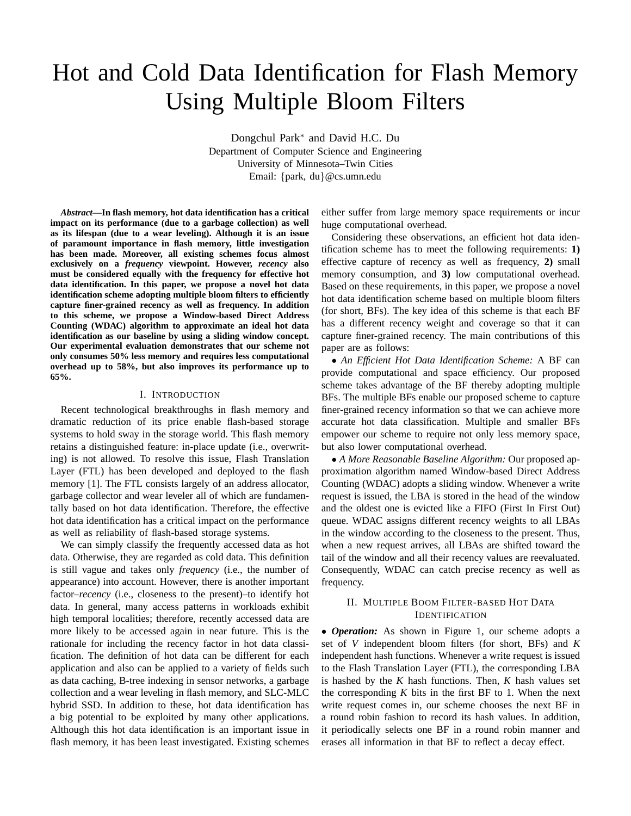# Hot and Cold Data Identification for Flash Memory Using Multiple Bloom Filters

Dongchul Park<sup>∗</sup> and David H.C. Du Department of Computer Science and Engineering University of Minnesota–Twin Cities Email: {park, du}@cs.umn.edu

*Abstract***—In flash memory, hot data identification has a critical impact on its performance (due to a garbage collection) as well as its lifespan (due to a wear leveling). Although it is an issue of paramount importance in flash memory, little investigation has been made. Moreover, all existing schemes focus almost exclusively on a** *frequency* **viewpoint. However,** *recency* **also must be considered equally with the frequency for effective hot data identification. In this paper, we propose a novel hot data identification scheme adopting multiple bloom filters to efficiently capture finer-grained recency as well as frequency. In addition to this scheme, we propose a Window-based Direct Address Counting (WDAC) algorithm to approximate an ideal hot data identification as our baseline by using a sliding window concept. Our experimental evaluation demonstrates that our scheme not only consumes 50% less memory and requires less computational overhead up to 58%, but also improves its performance up to 65%.**

### I. INTRODUCTION

Recent technological breakthroughs in flash memory and dramatic reduction of its price enable flash-based storage systems to hold sway in the storage world. This flash memory retains a distinguished feature: in-place update (i.e., overwriting) is not allowed. To resolve this issue, Flash Translation Layer (FTL) has been developed and deployed to the flash memory [1]. The FTL consists largely of an address allocator, garbage collector and wear leveler all of which are fundamentally based on hot data identification. Therefore, the effective hot data identification has a critical impact on the performance as well as reliability of flash-based storage systems.

We can simply classify the frequently accessed data as hot data. Otherwise, they are regarded as cold data. This definition is still vague and takes only *frequency* (i.e., the number of appearance) into account. However, there is another important factor–*recency* (i.e., closeness to the present)–to identify hot data. In general, many access patterns in workloads exhibit high temporal localities; therefore, recently accessed data are more likely to be accessed again in near future. This is the rationale for including the recency factor in hot data classification. The definition of hot data can be different for each application and also can be applied to a variety of fields such as data caching, B-tree indexing in sensor networks, a garbage collection and a wear leveling in flash memory, and SLC-MLC hybrid SSD. In addition to these, hot data identification has a big potential to be exploited by many other applications. Although this hot data identification is an important issue in flash memory, it has been least investigated. Existing schemes

either suffer from large memory space requirements or incur huge computational overhead.

Considering these observations, an efficient hot data identification scheme has to meet the following requirements: **1)** effective capture of recency as well as frequency, **2)** small memory consumption, and **3)** low computational overhead. Based on these requirements, in this paper, we propose a novel hot data identification scheme based on multiple bloom filters (for short, BFs). The key idea of this scheme is that each BF has a different recency weight and coverage so that it can capture finer-grained recency. The main contributions of this paper are as follows:

• *An Efficient Hot Data Identification Scheme:* A BF can provide computational and space efficiency. Our proposed scheme takes advantage of the BF thereby adopting multiple BFs. The multiple BFs enable our proposed scheme to capture finer-grained recency information so that we can achieve more accurate hot data classification. Multiple and smaller BFs empower our scheme to require not only less memory space, but also lower computational overhead.

• *A More Reasonable Baseline Algorithm:* Our proposed approximation algorithm named Window-based Direct Address Counting (WDAC) adopts a sliding window. Whenever a write request is issued, the LBA is stored in the head of the window and the oldest one is evicted like a FIFO (First In First Out) queue. WDAC assigns different recency weights to all LBAs in the window according to the closeness to the present. Thus, when a new request arrives, all LBAs are shifted toward the tail of the window and all their recency values are reevaluated. Consequently, WDAC can catch precise recency as well as frequency.

## II. MULTIPLE BOOM FILTER-BASED HOT DATA IDENTIFICATION

• *Operation:* As shown in Figure 1, our scheme adopts a set of *V* independent bloom filters (for short, BFs) and *K* independent hash functions. Whenever a write request is issued to the Flash Translation Layer (FTL), the corresponding LBA is hashed by the *K* hash functions. Then, *K* hash values set the corresponding  $K$  bits in the first  $BF$  to 1. When the next write request comes in, our scheme chooses the next BF in a round robin fashion to record its hash values. In addition, it periodically selects one BF in a round robin manner and erases all information in that BF to reflect a decay effect.